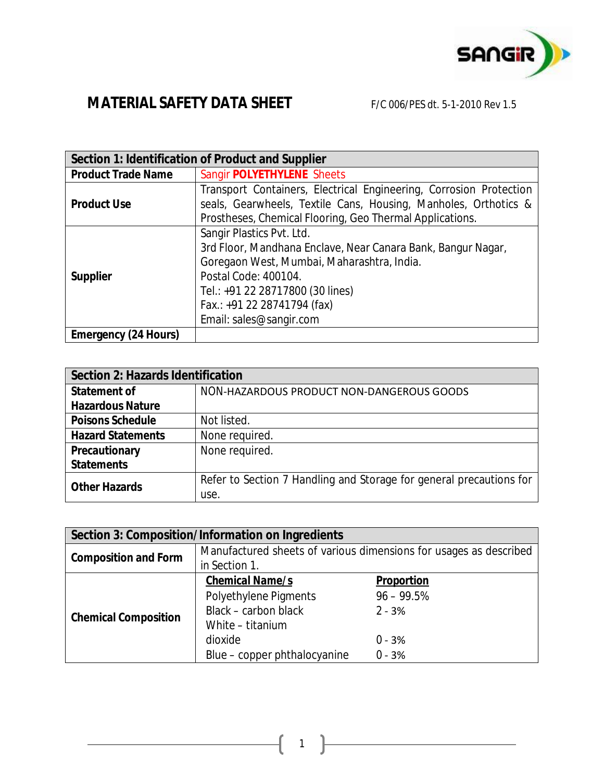

|                             | Section 1: Identification of Product and Supplier                                                                                                                                                                                                             |
|-----------------------------|---------------------------------------------------------------------------------------------------------------------------------------------------------------------------------------------------------------------------------------------------------------|
| <b>Product Trade Name</b>   | Sangir POLYETHYLENE Sheets                                                                                                                                                                                                                                    |
| <b>Product Use</b>          | Transport Containers, Electrical Engineering, Corrosion Protection<br>seals, Gearwheels, Textile Cans, Housing, Manholes, Orthotics &<br>Prostheses, Chemical Flooring, Geo Thermal Applications.                                                             |
| <b>Supplier</b>             | Sangir Plastics Pvt. Ltd.<br>3rd Floor, Mandhana Enclave, Near Canara Bank, Bangur Nagar,<br>Goregaon West, Mumbai, Maharashtra, India.<br>Postal Code: 400104.<br>Tel.: +91 22 28717800 (30 lines)<br>Fax.: +91 22 28741794 (fax)<br>Email: sales@sangir.com |
| <b>Emergency (24 Hours)</b> |                                                                                                                                                                                                                                                               |

| <b>Section 2: Hazards Identification</b> |                                                                     |  |  |
|------------------------------------------|---------------------------------------------------------------------|--|--|
| <b>Statement of</b>                      | NON-HAZARDOUS PRODUCT NON-DANGEROUS GOODS                           |  |  |
| <b>Hazardous Nature</b>                  |                                                                     |  |  |
| <b>Poisons Schedule</b>                  | Not listed.                                                         |  |  |
| <b>Hazard Statements</b>                 | None required.                                                      |  |  |
| <b>Precautionary</b>                     | None required.                                                      |  |  |
| <b>Statements</b>                        |                                                                     |  |  |
| <b>Other Hazards</b>                     | Refer to Section 7 Handling and Storage for general precautions for |  |  |
|                                          | use.                                                                |  |  |

| Section 3: Composition/Information on Ingredients |                                                                   |                   |  |  |  |
|---------------------------------------------------|-------------------------------------------------------------------|-------------------|--|--|--|
| <b>Composition and Form</b>                       | Manufactured sheets of various dimensions for usages as described |                   |  |  |  |
|                                                   | in Section 1.                                                     |                   |  |  |  |
|                                                   | <b>Chemical Name/s</b>                                            | <b>Proportion</b> |  |  |  |
| <b>Chemical Composition</b>                       | Polyethylene Pigments                                             | $96 - 99.5%$      |  |  |  |
|                                                   | Black - carbon black                                              | $2 - 3%$          |  |  |  |
|                                                   | White - titanium                                                  |                   |  |  |  |
|                                                   | dioxide                                                           | $0 - 3%$          |  |  |  |
|                                                   | Blue - copper phthalocyanine                                      | $0 - 3%$          |  |  |  |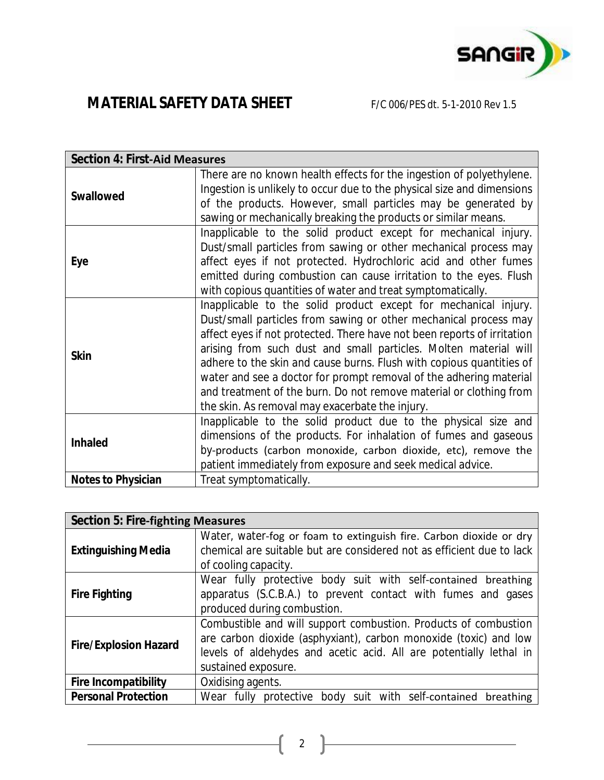

| <b>Section 4: First-Aid Measures</b> |                                                                         |
|--------------------------------------|-------------------------------------------------------------------------|
| <b>Swallowed</b>                     | There are no known health effects for the ingestion of polyethylene.    |
|                                      | Ingestion is unlikely to occur due to the physical size and dimensions  |
|                                      | of the products. However, small particles may be generated by           |
|                                      | sawing or mechanically breaking the products or similar means.          |
|                                      | Inapplicable to the solid product except for mechanical injury.         |
|                                      | Dust/small particles from sawing or other mechanical process may        |
| Eye                                  | affect eyes if not protected. Hydrochloric acid and other fumes         |
|                                      | emitted during combustion can cause irritation to the eyes. Flush       |
|                                      | with copious quantities of water and treat symptomatically.             |
|                                      | Inapplicable to the solid product except for mechanical injury.         |
|                                      | Dust/small particles from sawing or other mechanical process may        |
|                                      | affect eyes if not protected. There have not been reports of irritation |
|                                      | arising from such dust and small particles. Molten material will        |
| <b>Skin</b>                          | adhere to the skin and cause burns. Flush with copious quantities of    |
|                                      | water and see a doctor for prompt removal of the adhering material      |
|                                      | and treatment of the burn. Do not remove material or clothing from      |
|                                      | the skin. As removal may exacerbate the injury.                         |
|                                      | Inapplicable to the solid product due to the physical size and          |
| <b>Inhaled</b>                       | dimensions of the products. For inhalation of fumes and gaseous         |
|                                      | by-products (carbon monoxide, carbon dioxide, etc), remove the          |
|                                      | patient immediately from exposure and seek medical advice.              |
| <b>Notes to Physician</b>            | Treat symptomatically.                                                  |

| <b>Section 5: Fire-fighting Measures</b> |                                                                       |
|------------------------------------------|-----------------------------------------------------------------------|
|                                          | Water, water-fog or foam to extinguish fire. Carbon dioxide or dry    |
| <b>Extinguishing Media</b>               | chemical are suitable but are considered not as efficient due to lack |
|                                          | of cooling capacity.                                                  |
|                                          | Wear fully protective body suit with self-contained breathing         |
| <b>Fire Fighting</b>                     | apparatus (S.C.B.A.) to prevent contact with fumes and gases          |
|                                          | produced during combustion.                                           |
|                                          | Combustible and will support combustion. Products of combustion       |
| <b>Fire/Explosion Hazard</b>             | are carbon dioxide (asphyxiant), carbon monoxide (toxic) and low      |
|                                          | levels of aldehydes and acetic acid. All are potentially lethal in    |
|                                          | sustained exposure.                                                   |
| <b>Fire Incompatibility</b>              | Oxidising agents.                                                     |
| <b>Personal Protection</b>               | Wear fully protective body suit with self-contained breathing         |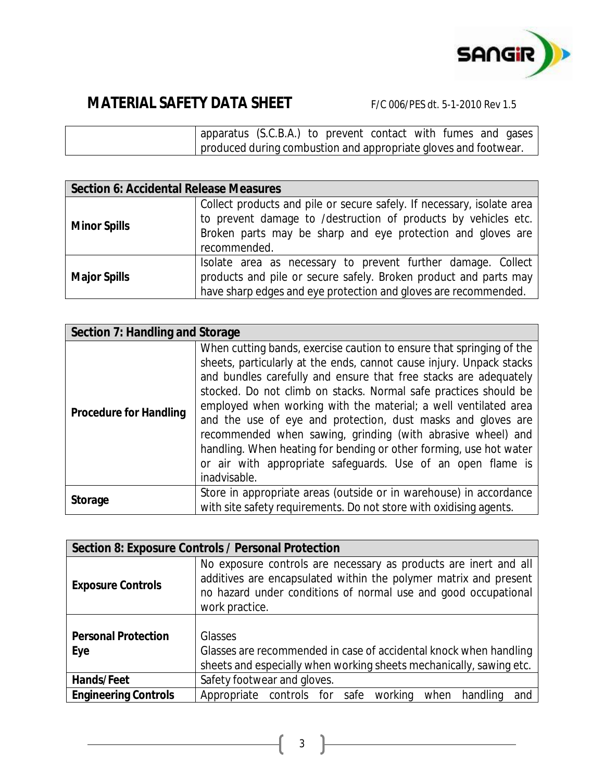

| apparatus (S.C.B.A.) to prevent contact with fumes and gases    |  |  |  |  |
|-----------------------------------------------------------------|--|--|--|--|
| produced during combustion and appropriate gloves and footwear. |  |  |  |  |

| <b>Section 6: Accidental Release Measures</b> |                                                                                                                                                                                                                         |  |  |  |
|-----------------------------------------------|-------------------------------------------------------------------------------------------------------------------------------------------------------------------------------------------------------------------------|--|--|--|
| <b>Minor Spills</b>                           | Collect products and pile or secure safely. If necessary, isolate area<br>to prevent damage to /destruction of products by vehicles etc.<br>Broken parts may be sharp and eye protection and gloves are<br>recommended. |  |  |  |
| <b>Major Spills</b>                           | Isolate area as necessary to prevent further damage. Collect<br>products and pile or secure safely. Broken product and parts may<br>have sharp edges and eye protection and gloves are recommended.                     |  |  |  |

| Section 7: Handling and Storage |                                                                                                                                                                                                                                                                                                                                                                                                                                                                                                                                                                                                                                             |
|---------------------------------|---------------------------------------------------------------------------------------------------------------------------------------------------------------------------------------------------------------------------------------------------------------------------------------------------------------------------------------------------------------------------------------------------------------------------------------------------------------------------------------------------------------------------------------------------------------------------------------------------------------------------------------------|
| <b>Procedure for Handling</b>   | When cutting bands, exercise caution to ensure that springing of the<br>sheets, particularly at the ends, cannot cause injury. Unpack stacks<br>and bundles carefully and ensure that free stacks are adequately<br>stocked. Do not climb on stacks. Normal safe practices should be<br>employed when working with the material; a well ventilated area<br>and the use of eye and protection, dust masks and gloves are<br>recommended when sawing, grinding (with abrasive wheel) and<br>handling. When heating for bending or other forming, use hot water<br>or air with appropriate safeguards. Use of an open flame is<br>inadvisable. |
| <b>Storage</b>                  | Store in appropriate areas (outside or in warehouse) in accordance<br>with site safety requirements. Do not store with oxidising agents.                                                                                                                                                                                                                                                                                                                                                                                                                                                                                                    |

|                                   | <b>Section 8: Exposure Controls / Personal Protection</b>                                                                                                                                                                |
|-----------------------------------|--------------------------------------------------------------------------------------------------------------------------------------------------------------------------------------------------------------------------|
| <b>Exposure Controls</b>          | No exposure controls are necessary as products are inert and all<br>additives are encapsulated within the polymer matrix and present<br>no hazard under conditions of normal use and good occupational<br>work practice. |
| <b>Personal Protection</b><br>Eye | <b>Glasses</b><br>Glasses are recommended in case of accidental knock when handling<br>sheets and especially when working sheets mechanically, sawing etc.                                                               |
| <b>Hands/Feet</b>                 | Safety footwear and gloves.                                                                                                                                                                                              |
| <b>Engineering Controls</b>       | Appropriate controls for safe<br>working<br>when<br>handling<br>and                                                                                                                                                      |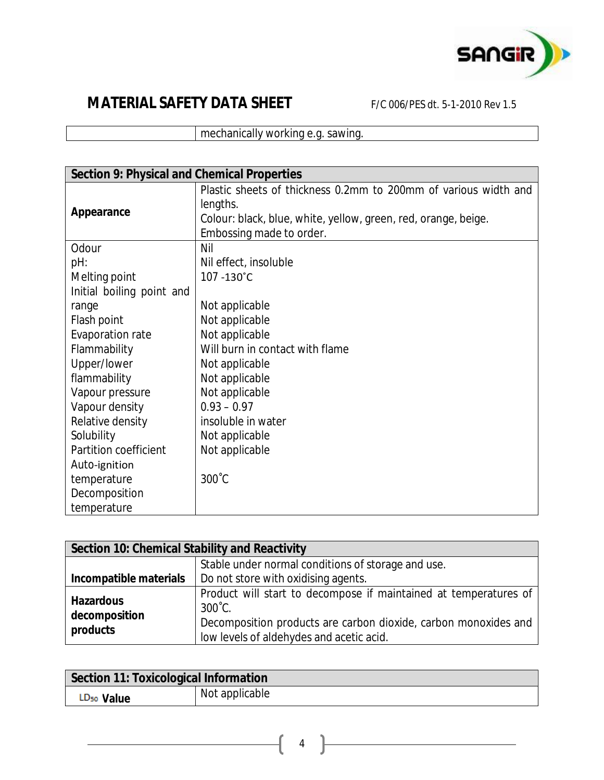

mechanically working e.g. sawing.

| <b>Section 9: Physical and Chemical Properties</b> |                                                                 |
|----------------------------------------------------|-----------------------------------------------------------------|
|                                                    | Plastic sheets of thickness 0.2mm to 200mm of various width and |
| <b>Appearance</b>                                  | lengths.                                                        |
|                                                    | Colour: black, blue, white, yellow, green, red, orange, beige.  |
|                                                    | Embossing made to order.                                        |
| Odour                                              | Nil                                                             |
| pH:                                                | Nil effect, insoluble                                           |
| Melting point                                      | 107 -130°C                                                      |
| Initial boiling point and                          |                                                                 |
| range                                              | Not applicable                                                  |
| Flash point                                        | Not applicable                                                  |
| Evaporation rate                                   | Not applicable                                                  |
| Flammability                                       | Will burn in contact with flame                                 |
| Upper/lower                                        | Not applicable                                                  |
| flammability                                       | Not applicable                                                  |
| Vapour pressure                                    | Not applicable                                                  |
| Vapour density                                     | $0.93 - 0.97$                                                   |
| Relative density                                   | insoluble in water                                              |
| Solubility                                         | Not applicable                                                  |
| Partition coefficient                              | Not applicable                                                  |
| Auto-ignition                                      |                                                                 |
| temperature                                        | $300^{\circ}$ C                                                 |
| Decomposition                                      |                                                                 |
| temperature                                        |                                                                 |

| Section 10: Chemical Stability and Reactivity |                                                                                                                                                                                                     |  |  |
|-----------------------------------------------|-----------------------------------------------------------------------------------------------------------------------------------------------------------------------------------------------------|--|--|
|                                               | Stable under normal conditions of storage and use.                                                                                                                                                  |  |  |
| Incompatible materials                        | Do not store with oxidising agents.                                                                                                                                                                 |  |  |
| <b>Hazardous</b><br>decomposition<br>products | Product will start to decompose if maintained at temperatures of<br>$300^{\circ}$ C.<br>Decomposition products are carbon dioxide, carbon monoxides and<br>low levels of aldehydes and acetic acid. |  |  |

| <b>Section 11: Toxicological Information</b> |                |  |
|----------------------------------------------|----------------|--|
| LD <sub>50</sub> Value                       | Not applicable |  |